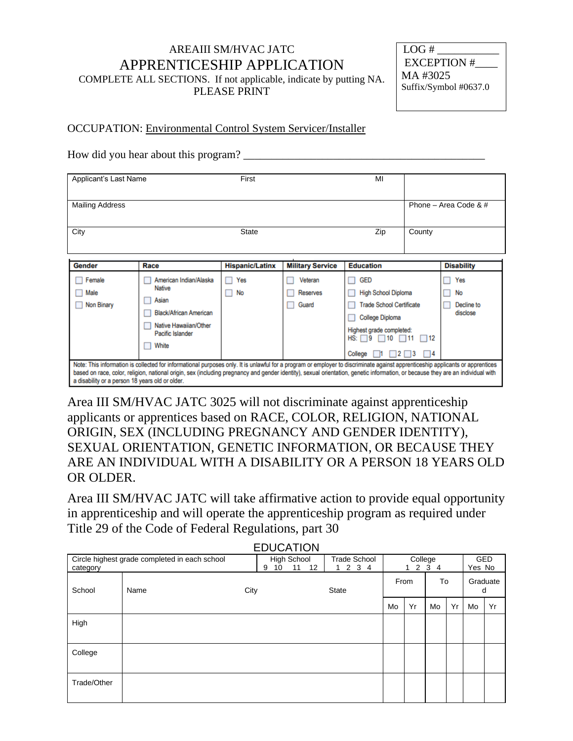## AREAIII SM/HVAC JATC APPRENTICESHIP APPLICATION COMPLETE ALL SECTIONS. If not applicable, indicate by putting NA. PLEASE PRINT

| LOG#                  |
|-----------------------|
| EXCEPTION #           |
| MA #3025              |
| Suffix/Symbol #0637.0 |
|                       |

## OCCUPATION: Environmental Control System Servicer/Installer

How did you hear about this program?

| Applicant's Last Name          |                                                                                                                                                                                                                                                                                                                           | First                  |                              | MI                                                                                                                                                             |                                                        |                                     |
|--------------------------------|---------------------------------------------------------------------------------------------------------------------------------------------------------------------------------------------------------------------------------------------------------------------------------------------------------------------------|------------------------|------------------------------|----------------------------------------------------------------------------------------------------------------------------------------------------------------|--------------------------------------------------------|-------------------------------------|
| <b>Mailing Address</b><br>City |                                                                                                                                                                                                                                                                                                                           | <b>State</b>           |                              | Zip                                                                                                                                                            | County                                                 | Phone – Area Code & $#$             |
| Gender                         | Race                                                                                                                                                                                                                                                                                                                      | <b>Hispanic/Latinx</b> | <b>Military Service</b>      | <b>Education</b>                                                                                                                                               |                                                        | <b>Disability</b>                   |
| Female<br>Male<br>Non Binary   | American Indian/Alaska<br><b>Native</b><br>Asian<br><b>Black/African American</b><br>Native Hawaiian/Other<br>Pacific Islander<br>White<br>Note: This information is collected for informational purposes only. It is unlawful for a program or employer to discriminate against apprenticeship applicants or apprentices | Yes<br>No<br>ш         | Veteran<br>Reserves<br>Guard | <b>GED</b><br><b>High School Diploma</b><br><b>Trade School Certificate</b><br><b>College Diploma</b><br>Highest grade completed:<br>HS:<br>9<br>10<br>College | $\square$ 12<br>$\neg$ 11<br>$2 \square 3$<br>$\Box$ 4 | Yes<br>No<br>Decline to<br>disclose |

based on race, color, religion, national origin, sex (including pregnancy and gender identity), sexual orientation, genetic information, or because they are an individual with a disability or a person 18 years old or older.

Area III SM/HVAC JATC 3025 will not discriminate against apprenticeship applicants or apprentices based on RACE, COLOR, RELIGION, NATIONAL ORIGIN, SEX (INCLUDING PREGNANCY AND GENDER IDENTITY), SEXUAL ORIENTATION, GENETIC INFORMATION, OR BECAUSE THEY ARE AN INDIVIDUAL WITH A DISABILITY OR A PERSON 18 YEARS OLD OR OLDER.

Area III SM/HVAC JATC will take affirmative action to provide equal opportunity in apprenticeship and will operate the apprenticeship program as required under Title 29 of the Code of Federal Regulations, part 30

EDUCATION

| EDUCATION   |                                               |         |                         |                             |      |                 |    |    |               |            |
|-------------|-----------------------------------------------|---------|-------------------------|-----------------------------|------|-----------------|----|----|---------------|------------|
| category    | Circle highest grade completed in each school | 10<br>9 | High School<br>11<br>12 | <b>Trade School</b><br>1234 |      | College<br>1234 |    |    | Yes No        | <b>GED</b> |
| School      | Name                                          | City    |                         | <b>State</b>                | From |                 | To |    | Graduate<br>d |            |
|             |                                               |         |                         |                             | Mo   | Yr              | Mo | Yr | Mo            | Yr         |
| High        |                                               |         |                         |                             |      |                 |    |    |               |            |
| College     |                                               |         |                         |                             |      |                 |    |    |               |            |
| Trade/Other |                                               |         |                         |                             |      |                 |    |    |               |            |